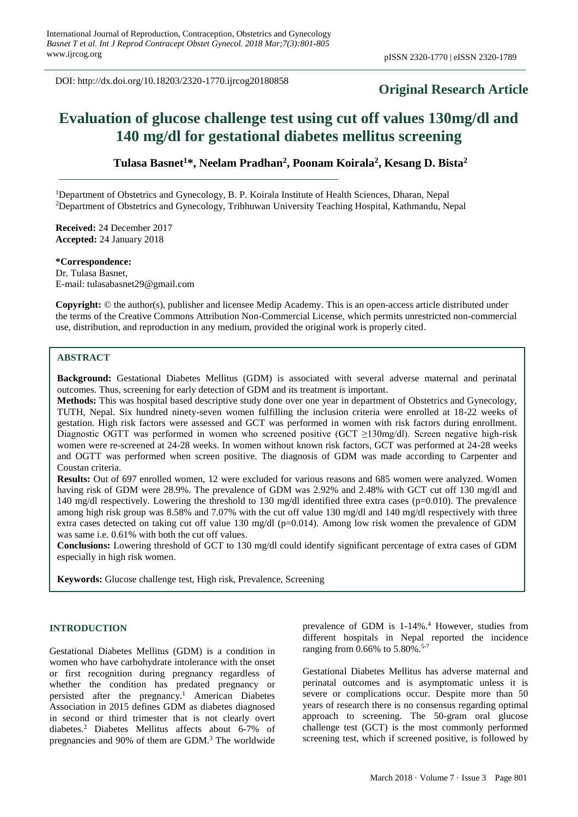DOI: http://dx.doi.org/10.18203/2320-1770.ijrcog20180858

## **Original Research Article**

# **Evaluation of glucose challenge test using cut off values 130mg/dl and 140 mg/dl for gestational diabetes mellitus screening**

**Tulasa Basnet<sup>1</sup>\*, Neelam Pradhan<sup>2</sup> , Poonam Koirala<sup>2</sup> , Kesang D. Bista<sup>2</sup>**

<sup>1</sup>Department of Obstetrics and Gynecology, B. P. Koirala Institute of Health Sciences, Dharan, Nepal <sup>2</sup>Department of Obstetrics and Gynecology, Tribhuwan University Teaching Hospital, Kathmandu, Nepal

**Received:** 24 December 2017 **Accepted:** 24 January 2018

**\*Correspondence:** Dr. Tulasa Basnet, E-mail: tulasabasnet29@gmail.com

**Copyright:** © the author(s), publisher and licensee Medip Academy. This is an open-access article distributed under the terms of the Creative Commons Attribution Non-Commercial License, which permits unrestricted non-commercial use, distribution, and reproduction in any medium, provided the original work is properly cited.

## **ABSTRACT**

**Background:** Gestational Diabetes Mellitus (GDM) is associated with several adverse maternal and perinatal outcomes. Thus, screening for early detection of GDM and its treatment is important.

**Methods:** This was hospital based descriptive study done over one year in department of Obstetrics and Gynecology, TUTH, Nepal. Six hundred ninety-seven women fulfilling the inclusion criteria were enrolled at 18-22 weeks of gestation. High risk factors were assessed and GCT was performed in women with risk factors during enrollment. Diagnostic OGTT was performed in women who screened positive (GCT ≥130mg/dl). Screen negative high-risk women were re-screened at 24-28 weeks. In women without known risk factors, GCT was performed at 24-28 weeks and OGTT was performed when screen positive. The diagnosis of GDM was made according to Carpenter and Coustan criteria.

**Results:** Out of 697 enrolled women, 12 were excluded for various reasons and 685 women were analyzed. Women having risk of GDM were 28.9%. The prevalence of GDM was 2.92% and 2.48% with GCT cut off 130 mg/dl and 140 mg/dl respectively. Lowering the threshold to 130 mg/dl identified three extra cases (p=0.010). The prevalence among high risk group was 8.58% and 7.07% with the cut off value 130 mg/dl and 140 mg/dl respectively with three extra cases detected on taking cut off value 130 mg/dl (p=0.014). Among low risk women the prevalence of GDM was same i.e. 0.61% with both the cut off values.

**Conclusions:** Lowering threshold of GCT to 130 mg/dl could identify significant percentage of extra cases of GDM especially in high risk women.

**Keywords:** Glucose challenge test, High risk, Prevalence, Screening

#### **INTRODUCTION**

Gestational Diabetes Mellitus (GDM) is a condition in women who have carbohydrate intolerance with the onset or first recognition during pregnancy regardless of whether the condition has predated pregnancy or persisted after the pregnancy.<sup>1</sup> American Diabetes Association in 2015 defines GDM as diabetes diagnosed in second or third trimester that is not clearly overt diabetes.<sup>2</sup> Diabetes Mellitus affects about 6-7% of pregnancies and 90% of them are GDM.<sup>3</sup> The worldwide prevalence of GDM is 1-14%.<sup>4</sup> However, studies from different hospitals in Nepal reported the incidence ranging from 0.66% to  $5.80\%$ .<sup>5-7</sup>

Gestational Diabetes Mellitus has adverse maternal and perinatal outcomes and is asymptomatic unless it is severe or complications occur. Despite more than 50 years of research there is no consensus regarding optimal approach to screening. The 50-gram oral glucose challenge test (GCT) is the most commonly performed screening test, which if screened positive, is followed by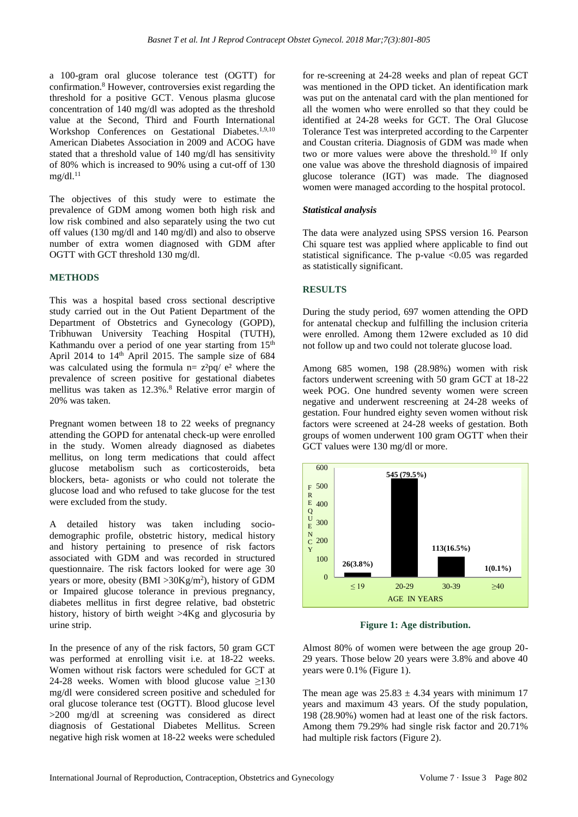a 100-gram oral glucose tolerance test (OGTT) for confirmation.<sup>8</sup> However, controversies exist regarding the threshold for a positive GCT. Venous plasma glucose concentration of 140 mg/dl was adopted as the threshold value at the Second, Third and Fourth International Workshop Conferences on Gestational Diabetes.<sup>1,9,10</sup> American Diabetes Association in 2009 and ACOG have stated that a threshold value of 140 mg/dl has sensitivity of 80% which is increased to 90% using a cut-off of 130  $mg/dl.^{11}$ 

The objectives of this study were to estimate the prevalence of GDM among women both high risk and low risk combined and also separately using the two cut off values (130 mg/dl and 140 mg/dl) and also to observe number of extra women diagnosed with GDM after OGTT with GCT threshold 130 mg/dl.

#### **METHODS**

This was a hospital based cross sectional descriptive study carried out in the Out Patient Department of the Department of Obstetrics and Gynecology (GOPD), Tribhuwan University Teaching Hospital (TUTH), Kathmandu over a period of one year starting from 15<sup>th</sup> April 2014 to  $14<sup>th</sup>$  April 2015. The sample size of 684 was calculated using the formula  $n= z<sup>2</sup>pa/ e<sup>2</sup>$  where the prevalence of screen positive for gestational diabetes mellitus was taken as 12.3%.<sup>8</sup> Relative error margin of 20% was taken.

Pregnant women between 18 to 22 weeks of pregnancy attending the GOPD for antenatal check-up were enrolled in the study. Women already diagnosed as diabetes mellitus, on long term medications that could affect glucose metabolism such as corticosteroids, beta blockers, beta- agonists or who could not tolerate the glucose load and who refused to take glucose for the test were excluded from the study.

A detailed history was taken including sociodemographic profile, obstetric history, medical history and history pertaining to presence of risk factors associated with GDM and was recorded in structured questionnaire. The risk factors looked for were age 30 years or more, obesity (BMI > 30Kg/m<sup>2</sup>), history of GDM or Impaired glucose tolerance in previous pregnancy, diabetes mellitus in first degree relative, bad obstetric history, history of birth weight >4Kg and glycosuria by urine strip.

In the presence of any of the risk factors, 50 gram GCT was performed at enrolling visit i.e. at 18-22 weeks. Women without risk factors were scheduled for GCT at 24-28 weeks. Women with blood glucose value  $\geq 130$ mg/dl were considered screen positive and scheduled for oral glucose tolerance test (OGTT). Blood glucose level >200 mg/dl at screening was considered as direct diagnosis of Gestational Diabetes Mellitus. Screen negative high risk women at 18-22 weeks were scheduled for re-screening at 24-28 weeks and plan of repeat GCT was mentioned in the OPD ticket. An identification mark was put on the antenatal card with the plan mentioned for all the women who were enrolled so that they could be identified at 24-28 weeks for GCT. The Oral Glucose Tolerance Test was interpreted according to the Carpenter and Coustan criteria. Diagnosis of GDM was made when two or more values were above the threshold.<sup>10</sup> If only one value was above the threshold diagnosis of impaired glucose tolerance (IGT) was made. The diagnosed women were managed according to the hospital protocol.

#### *Statistical analysis*

The data were analyzed using SPSS version 16. Pearson Chi square test was applied where applicable to find out statistical significance. The p-value <0.05 was regarded as statistically significant.

#### **RESULTS**

During the study period, 697 women attending the OPD for antenatal checkup and fulfilling the inclusion criteria were enrolled. Among them 12were excluded as 10 did not follow up and two could not tolerate glucose load.

Among 685 women, 198 (28.98%) women with risk factors underwent screening with 50 gram GCT at 18-22 week POG. One hundred seventy women were screen negative and underwent rescreening at 24-28 weeks of gestation. Four hundred eighty seven women without risk factors were screened at 24-28 weeks of gestation. Both groups of women underwent 100 gram OGTT when their GCT values were 130 mg/dl or more.



**Figure 1: Age distribution.**

Almost 80% of women were between the age group 20- 29 years. Those below 20 years were 3.8% and above 40 years were 0.1% (Figure 1).

The mean age was  $25.83 \pm 4.34$  years with minimum 17 years and maximum 43 years. Of the study population, 198 (28.90%) women had at least one of the risk factors. Among them 79.29% had single risk factor and 20.71% had multiple risk factors (Figure 2).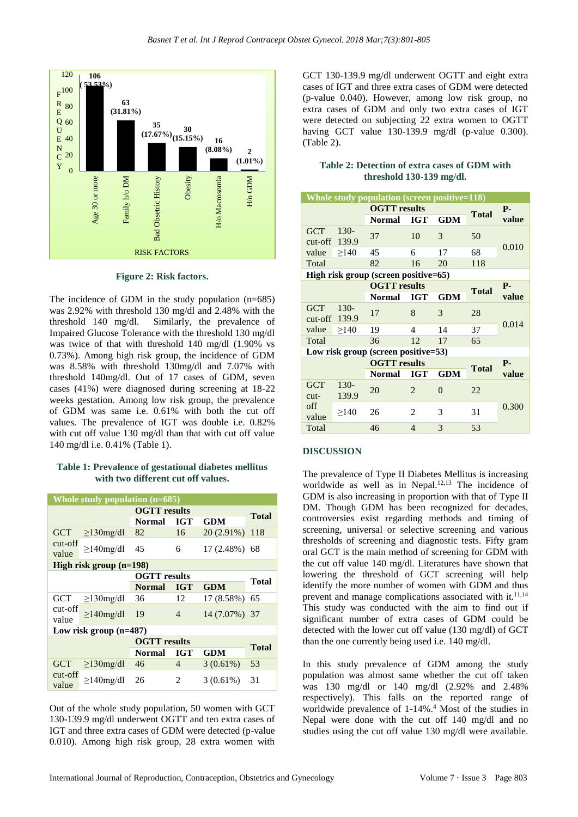

**Figure 2: Risk factors.**

The incidence of GDM in the study population (n=685) was 2.92% with threshold 130 mg/dl and 2.48% with the threshold 140 mg/dl. Similarly, the prevalence of Impaired Glucose Tolerance with the threshold 130 mg/dl was twice of that with threshold 140 mg/dl (1.90% vs 0.73%). Among high risk group, the incidence of GDM was 8.58% with threshold 130mg/dl and 7.07% with threshold 140mg/dl. Out of 17 cases of GDM, seven cases (41%) were diagnosed during screening at 18-22 weeks gestation. Among low risk group, the prevalence of GDM was same i.e. 0.61% with both the cut off values. The prevalence of IGT was double i.e. 0.82% with cut off value 130 mg/dl than that with cut off value 140 mg/dl i.e. 0.41% (Table 1).

## **Table 1: Prevalence of gestational diabetes mellitus with two different cut off values.**

| <b>Whole study population (n=685)</b> |                 |                     |                     |               |              |  |  |  |  |  |
|---------------------------------------|-----------------|---------------------|---------------------|---------------|--------------|--|--|--|--|--|
|                                       |                 | <b>OGTT</b> results | <b>Total</b>        |               |              |  |  |  |  |  |
|                                       |                 | <b>Normal</b>       | <b>IGT</b>          | GDM           |              |  |  |  |  |  |
| <b>GCT</b>                            | $\geq$ 130mg/dl | 82                  | 16                  | $20(2.91\%)$  | 118          |  |  |  |  |  |
| cut-off<br>value                      | $\geq$ 140mg/dl | 45                  | 6                   | 17 (2.48%) 68 |              |  |  |  |  |  |
| High risk group $(n=198)$             |                 |                     |                     |               |              |  |  |  |  |  |
|                                       |                 |                     | <b>OGTT</b> results |               |              |  |  |  |  |  |
|                                       |                 | <b>Normal</b>       | <b>IGT</b>          | <b>GDM</b>    | <b>Total</b> |  |  |  |  |  |
| GCT                                   | $\geq$ 130mg/dl | 36                  | 12                  | 17 (8.58%)    | 65           |  |  |  |  |  |
| cut-off<br>value                      | $\geq$ 140mg/dl | 19                  | 4                   | 14 (7.07%) 37 |              |  |  |  |  |  |
| Low risk group $(n=487)$              |                 |                     |                     |               |              |  |  |  |  |  |
|                                       |                 | <b>OGTT</b> results | Total               |               |              |  |  |  |  |  |
|                                       |                 | Normal              | IGT                 | GDM           |              |  |  |  |  |  |
| <b>GCT</b>                            | $\geq$ 130mg/dl | 46                  | 4                   | $3(0.61\%)$   | 53           |  |  |  |  |  |
| cut-off<br>value                      | $\geq$ 140mg/dl | 26                  | 2                   | $3(0.61\%)$   | 31           |  |  |  |  |  |

Out of the whole study population, 50 women with GCT 130-139.9 mg/dl underwent OGTT and ten extra cases of IGT and three extra cases of GDM were detected (p-value 0.010). Among high risk group, 28 extra women with GCT 130-139.9 mg/dl underwent OGTT and eight extra cases of IGT and three extra cases of GDM were detected (p-value 0.040). However, among low risk group, no extra cases of GDM and only two extra cases of IGT were detected on subjecting 22 extra women to OGTT having GCT value 130-139.9 mg/dl (p-value 0.300). (Table 2).

## **Table 2: Detection of extra cases of GDM with threshold 130-139 mg/dl.**

| Whole study population (screen positive=118) |        |                     |                          |               |              |            |  |  |  |  |
|----------------------------------------------|--------|---------------------|--------------------------|---------------|--------------|------------|--|--|--|--|
|                                              |        | <b>OGTT</b> results |                          |               | <b>Total</b> | <b>P</b> - |  |  |  |  |
|                                              |        | Normal              | IGT                      | <b>GDM</b>    |              | value      |  |  |  |  |
| <b>GCT</b>                                   | $130-$ | 37                  | 10                       | 3             | 50           |            |  |  |  |  |
| $cut-off$                                    | 139.9  |                     |                          |               |              | 0.010      |  |  |  |  |
| value                                        | >140   | 45                  | 6                        | 17            | 68           |            |  |  |  |  |
| Total                                        |        | 82                  | 16                       | 20            | 118          |            |  |  |  |  |
| High risk group (screen positive=65)         |        |                     |                          |               |              |            |  |  |  |  |
|                                              |        | <b>OGTT</b> results |                          |               |              | <b>P</b> - |  |  |  |  |
|                                              |        | Normal              | IGT                      | <b>GDM</b>    | <b>Total</b> | value      |  |  |  |  |
| <b>GCT</b>                                   | $130-$ | 17                  | 8                        | $\mathcal{R}$ | 28           |            |  |  |  |  |
| cut-off                                      | 139.9  |                     |                          |               |              |            |  |  |  |  |
| value                                        | >140   | 19                  | $\overline{\mathcal{A}}$ | 14            | 37           | 0.014      |  |  |  |  |
| Total                                        |        | 36                  | 12                       | 17            | 65           |            |  |  |  |  |
| Low risk group (screen positive=53)          |        |                     |                          |               |              |            |  |  |  |  |
|                                              |        | <b>OGTT</b> results |                          |               |              | <b>P.</b>  |  |  |  |  |
|                                              |        | Normal              | <b>IGT</b>               | <b>GDM</b>    | <b>Total</b> | value      |  |  |  |  |
| <b>GCT</b>                                   | 130-   |                     | 2                        | $\Omega$      | 22           |            |  |  |  |  |
| $cut-$                                       | 139.9  | 20                  |                          |               |              |            |  |  |  |  |
| off                                          | >140   | 26                  | 2                        | 3             | 31           | 0.300      |  |  |  |  |
| value                                        |        |                     |                          |               |              |            |  |  |  |  |
| Total                                        |        | 46                  | $\overline{4}$           | 3             | 53           |            |  |  |  |  |

## **DISCUSSION**

The prevalence of Type II Diabetes Mellitus is increasing worldwide as well as in Nepal.<sup>12,13</sup> The incidence of GDM is also increasing in proportion with that of Type II DM. Though GDM has been recognized for decades, controversies exist regarding methods and timing of screening, universal or selective screening and various thresholds of screening and diagnostic tests. Fifty gram oral GCT is the main method of screening for GDM with the cut off value 140 mg/dl. Literatures have shown that lowering the threshold of GCT screening will help identify the more number of women with GDM and thus prevent and manage complications associated with it.<sup>11,14</sup> This study was conducted with the aim to find out if significant number of extra cases of GDM could be detected with the lower cut off value (130 mg/dl) of GCT than the one currently being used i.e. 140 mg/dl.

In this study prevalence of GDM among the study population was almost same whether the cut off taken was 130 mg/dl or 140 mg/dl (2.92% and 2.48% respectively). This falls on the reported range of worldwide prevalence of 1-14%.<sup>4</sup> Most of the studies in Nepal were done with the cut off 140 mg/dl and no studies using the cut off value 130 mg/dl were available.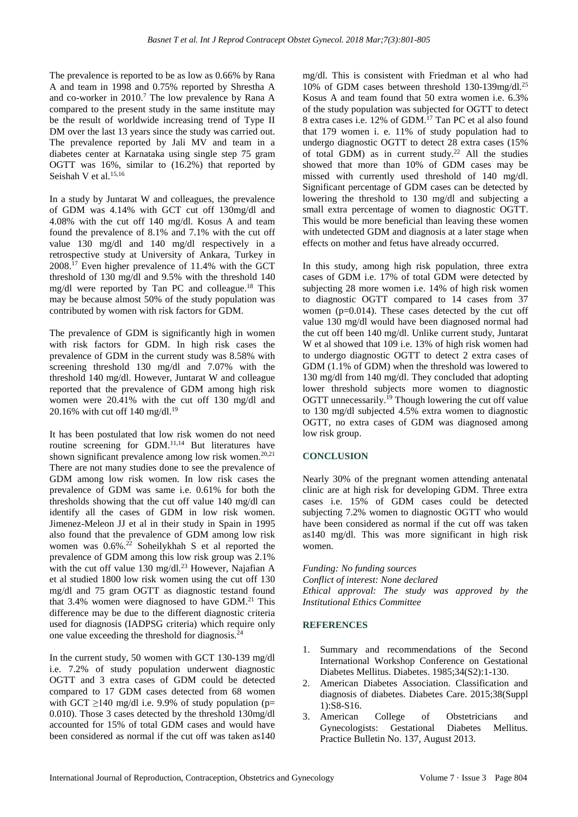The prevalence is reported to be as low as 0.66% by Rana A and team in 1998 and 0.75% reported by Shrestha A and co-worker in 2010.<sup>7</sup> The low prevalence by Rana A compared to the present study in the same institute may be the result of worldwide increasing trend of Type II DM over the last 13 years since the study was carried out. The prevalence reported by Jali MV and team in a diabetes center at Karnataka using single step 75 gram OGTT was 16%, similar to (16.2%) that reported by Seishah V et al.<sup>15,16</sup>

In a study by Juntarat W and colleagues, the prevalence of GDM was 4.14% with GCT cut off 130mg/dl and 4.08% with the cut off 140 mg/dl. Kosus A and team found the prevalence of 8.1% and 7.1% with the cut off value 130 mg/dl and 140 mg/dl respectively in a retrospective study at University of Ankara, Turkey in 2008.<sup>17</sup> Even higher prevalence of 11.4% with the GCT threshold of 130 mg/dl and 9.5% with the threshold 140 mg/dl were reported by Tan PC and colleague.<sup>18</sup> This may be because almost 50% of the study population was contributed by women with risk factors for GDM.

The prevalence of GDM is significantly high in women with risk factors for GDM. In high risk cases the prevalence of GDM in the current study was 8.58% with screening threshold 130 mg/dl and 7.07% with the threshold 140 mg/dl. However, Juntarat W and colleague reported that the prevalence of GDM among high risk women were 20.41% with the cut off 130 mg/dl and 20.16% with cut off 140 mg/dl.<sup>19</sup>

It has been postulated that low risk women do not need routine screening for GDM.<sup>11,14</sup> But literatures have shown significant prevalence among low risk women.<sup>20,21</sup> There are not many studies done to see the prevalence of GDM among low risk women. In low risk cases the prevalence of GDM was same i.e. 0.61% for both the thresholds showing that the cut off value 140 mg/dl can identify all the cases of GDM in low risk women. Jimenez-Meleon JJ et al in their study in Spain in 1995 also found that the prevalence of GDM among low risk women was 0.6%.<sup>22</sup> Soheilykhah S et al reported the prevalence of GDM among this low risk group was 2.1% with the cut off value  $130 \text{ mg/dl}$ .<sup>23</sup> However, Najafian A et al studied 1800 low risk women using the cut off 130 mg/dl and 75 gram OGTT as diagnostic testand found that  $3.4\%$  women were diagnosed to have GDM.<sup>21</sup> This difference may be due to the different diagnostic criteria used for diagnosis (IADPSG criteria) which require only one value exceeding the threshold for diagnosis.<sup>24</sup>

In the current study, 50 women with GCT 130-139 mg/dl i.e. 7.2% of study population underwent diagnostic OGTT and 3 extra cases of GDM could be detected compared to 17 GDM cases detected from 68 women with GCT  $\geq$ 140 mg/dl i.e. 9.9% of study population (p= 0.010). Those 3 cases detected by the threshold 130mg/dl accounted for 15% of total GDM cases and would have been considered as normal if the cut off was taken as140 mg/dl. This is consistent with Friedman et al who had 10% of GDM cases between threshold 130-139mg/dl.<sup>25</sup> Kosus A and team found that 50 extra women i.e. 6.3% of the study population was subjected for OGTT to detect 8 extra cases i.e. 12% of GDM.<sup>17</sup> Tan PC et al also found that 179 women i. e. 11% of study population had to undergo diagnostic OGTT to detect 28 extra cases (15% of total GDM) as in current study.<sup>22</sup> All the studies showed that more than 10% of GDM cases may be missed with currently used threshold of 140 mg/dl. Significant percentage of GDM cases can be detected by lowering the threshold to 130 mg/dl and subjecting a small extra percentage of women to diagnostic OGTT. This would be more beneficial than leaving these women with undetected GDM and diagnosis at a later stage when effects on mother and fetus have already occurred.

In this study, among high risk population, three extra cases of GDM i.e. 17% of total GDM were detected by subjecting 28 more women i.e. 14% of high risk women to diagnostic OGTT compared to 14 cases from 37 women  $(p=0.014)$ . These cases detected by the cut off value 130 mg/dl would have been diagnosed normal had the cut off been 140 mg/dl. Unlike current study, Juntarat W et al showed that 109 i.e. 13% of high risk women had to undergo diagnostic OGTT to detect 2 extra cases of GDM (1.1% of GDM) when the threshold was lowered to 130 mg/dl from 140 mg/dl. They concluded that adopting lower threshold subjects more women to diagnostic OGTT unnecessarily.<sup>19</sup> Though lowering the cut off value to 130 mg/dl subjected 4.5% extra women to diagnostic OGTT, no extra cases of GDM was diagnosed among low risk group.

## **CONCLUSION**

Nearly 30% of the pregnant women attending antenatal clinic are at high risk for developing GDM. Three extra cases i.e. 15% of GDM cases could be detected subjecting 7.2% women to diagnostic OGTT who would have been considered as normal if the cut off was taken as140 mg/dl. This was more significant in high risk women.

*Funding: No funding sources Conflict of interest: None declared Ethical approval: The study was approved by the Institutional Ethics Committee*

## **REFERENCES**

- 1. Summary and recommendations of the Second International Workshop Conference on Gestational Diabetes Mellitus. Diabetes. 1985;34(S2):1-130.
- 2. American Diabetes Association. Classification and diagnosis of diabetes. Diabetes Care. 2015;38(Suppl 1):S8-S16.
- 3. American College of Obstetricians and Gynecologists: Gestational Diabetes Mellitus. Practice Bulletin No. 137, August 2013.